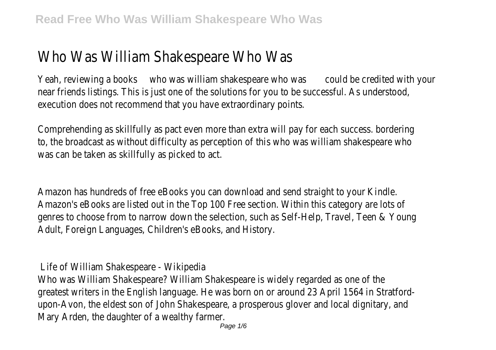# Who Was William Shakespeare Who Was

Yeah, reviewing a books who was william shakespeare who was could be credited with your near friends listings. This is just one of the solutions for you to be successful. As understood, execution does not recommend that you have extraordinary points.

Comprehending as skillfully as pact even more than extra will pay for each success. bordering to, the broadcast as without difficulty as perception of this who was william shakespeare who was can be taken as skillfully as picked to act.

Amazon has hundreds of free eBooks you can download and send straight to your Kindle. Amazon's eBooks are listed out in the Top 100 Free section. Within this category are lots of genres to choose from to narrow down the selection, such as Self-Help, Travel, Teen & Young Adult, Foreign Languages, Children's eBooks, and History.

Life of William Shakespeare - Wikipedia

Who was William Shakespeare? William Shakespeare is widely regarded as one of the greatest writers in the English language. He was born on or around 23 April 1564 in Stratfordupon-Avon, the eldest son of John Shakespeare, a prosperous glover and local dignitary, and Mary Arden, the daughter of a wealthy farmer.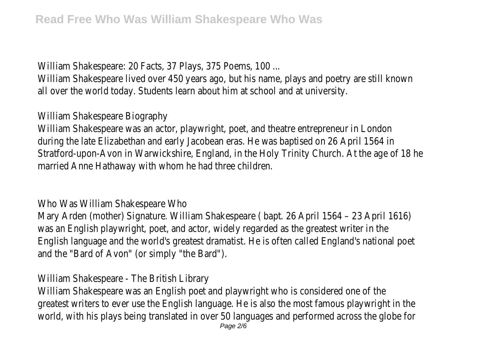William Shakespeare: 20 Facts, 37 Plays, 375 Poems, 100 ...

William Shakespeare lived over 450 years ago, but his name, plays and poetry are still known all over the world today. Students learn about him at school and at university.

William Shakespeare Biography

William Shakespeare was an actor, playwright, poet, and theatre entrepreneur in London during the late Elizabethan and early Jacobean eras. He was baptised on 26 April 1564 in Stratford-upon-Avon in Warwickshire, England, in the Holy Trinity Church. At the age of 18 he married Anne Hathaway with whom he had three children.

Who Was William Shakespeare Who

Mary Arden (mother) Signature. William Shakespeare ( bapt. 26 April 1564 – 23 April 1616) was an English playwright, poet, and actor, widely regarded as the greatest writer in the English language and the world's greatest dramatist. He is often called England's national poet and the "Bard of Avon" (or simply "the Bard").

William Shakespeare - The British Library

William Shakespeare was an English poet and playwright who is considered one of the greatest writers to ever use the English language. He is also the most famous playwright in the world, with his plays being translated in over 50 languages and performed across the globe for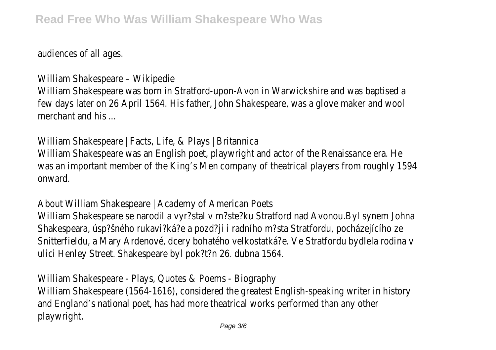audiences of all ages.

William Shakespeare – Wikipedie William Shakespeare was born in Stratford-upon-Avon in Warwickshire and was baptised a few days later on 26 April 1564. His father, John Shakespeare, was a glove maker and wool merchant and his

William Shakespeare | Facts, Life, & Plays | Britannica William Shakespeare was an English poet, playwright and actor of the Renaissance era. He was an important member of the King's Men company of theatrical players from roughly 1594 onward.

About William Shakespeare | Academy of American Poets William Shakespeare se narodil a vyr?stal v m?ste?ku Stratford nad Avonou.Byl synem Johna Shakespeara, úsp?šného rukavi?ká?e a pozd?ji i radního m?sta Stratfordu, pocházejícího ze Snitterfieldu, a Mary Ardenové, dcery bohatého velkostatká?e. Ve Stratfordu bydlela rodina v ulici Henley Street. Shakespeare byl pok?t?n 26. dubna 1564.

William Shakespeare - Plays, Quotes & Poems - Biography William Shakespeare (1564-1616), considered the greatest English-speaking writer in history and England's national poet, has had more theatrical works performed than any other playwright.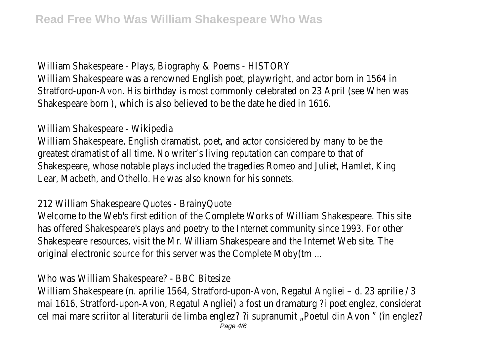William Shakespeare - Plays, Biography & Poems - HISTORY William Shakespeare was a renowned English poet, playwright, and actor born in 1564 in Stratford-upon-Avon. His birthday is most commonly celebrated on 23 April (see When was Shakespeare born ), which is also believed to be the date he died in 1616.

#### William Shakespeare - Wikipedia

William Shakespeare, English dramatist, poet, and actor considered by many to be the greatest dramatist of all time. No writer's living reputation can compare to that of Shakespeare, whose notable plays included the tragedies Romeo and Juliet, Hamlet, King Lear, Macbeth, and Othello. He was also known for his sonnets.

## 212 William Shakespeare Quotes - BrainyQuote

Welcome to the Web's first edition of the Complete Works of William Shakespeare. This site has offered Shakespeare's plays and poetry to the Internet community since 1993. For other Shakespeare resources, visit the Mr. William Shakespeare and the Internet Web site. The original electronic source for this server was the Complete Moby(tm ...

Who was William Shakespeare? - BBC Bitesize

William Shakespeare (n. aprilie 1564, Stratford-upon-Avon, Regatul Angliei – d. 23 aprilie / 3 mai 1616, Stratford-upon-Avon, Regatul Angliei) a fost un dramaturg ?i poet englez, considerat cel mai mare scriitor al literaturii de limba englez? ?i supranumit "Poetul din Avon " (în englez?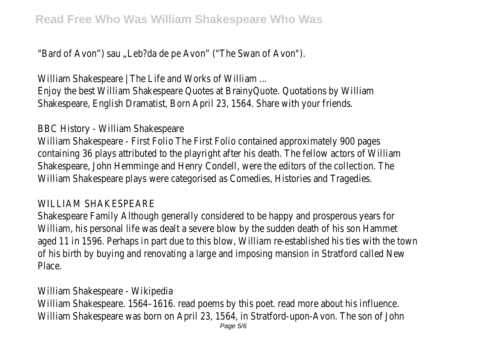"Bard of Avon") sau "Leb?da de pe Avon" ("The Swan of Avon").

William Shakespeare | The Life and Works of William ...

Enjoy the best William Shakespeare Quotes at BrainyQuote. Quotations by William Shakespeare, English Dramatist, Born April 23, 1564. Share with your friends.

## BBC History - William Shakespeare

William Shakespeare - First Folio The First Folio contained approximately 900 pages containing 36 plays attributed to the playright after his death. The fellow actors of William Shakespeare, John Hemminge and Henry Condell, were the editors of the collection. The William Shakespeare plays were categorised as Comedies, Histories and Tragedies.

## WILLIAM SHAKESPEARE

Shakespeare Family Although generally considered to be happy and prosperous years for William, his personal life was dealt a severe blow by the sudden death of his son Hammet aged 11 in 1596. Perhaps in part due to this blow, William re-established his ties with the town of his birth by buying and renovating a large and imposing mansion in Stratford called New Place.

## William Shakespeare - Wikipedia

William Shakespeare. 1564–1616. read poems by this poet. read more about his influence. William Shakespeare was born on April 23, 1564, in Stratford-upon-Avon. The son of John